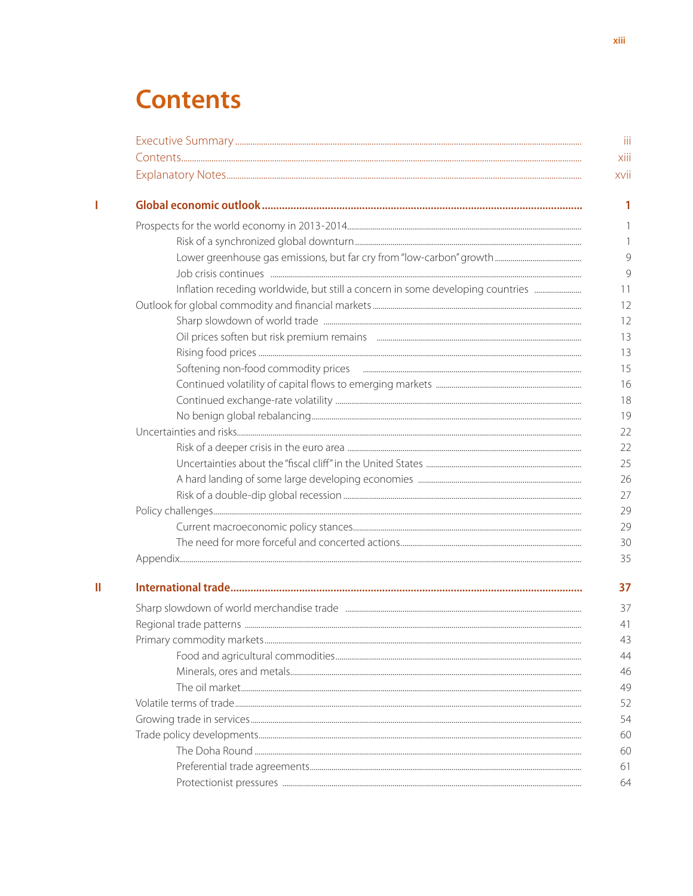# **Contents**

| Inflation receding worldwide, but still a concern in some developing countries |
|--------------------------------------------------------------------------------|
|                                                                                |
|                                                                                |
|                                                                                |
|                                                                                |
|                                                                                |
|                                                                                |
|                                                                                |
|                                                                                |
|                                                                                |
|                                                                                |
|                                                                                |
|                                                                                |
|                                                                                |
|                                                                                |
|                                                                                |
|                                                                                |
|                                                                                |
|                                                                                |
|                                                                                |
|                                                                                |
|                                                                                |
|                                                                                |
|                                                                                |
|                                                                                |
|                                                                                |
|                                                                                |
|                                                                                |
|                                                                                |
|                                                                                |
|                                                                                |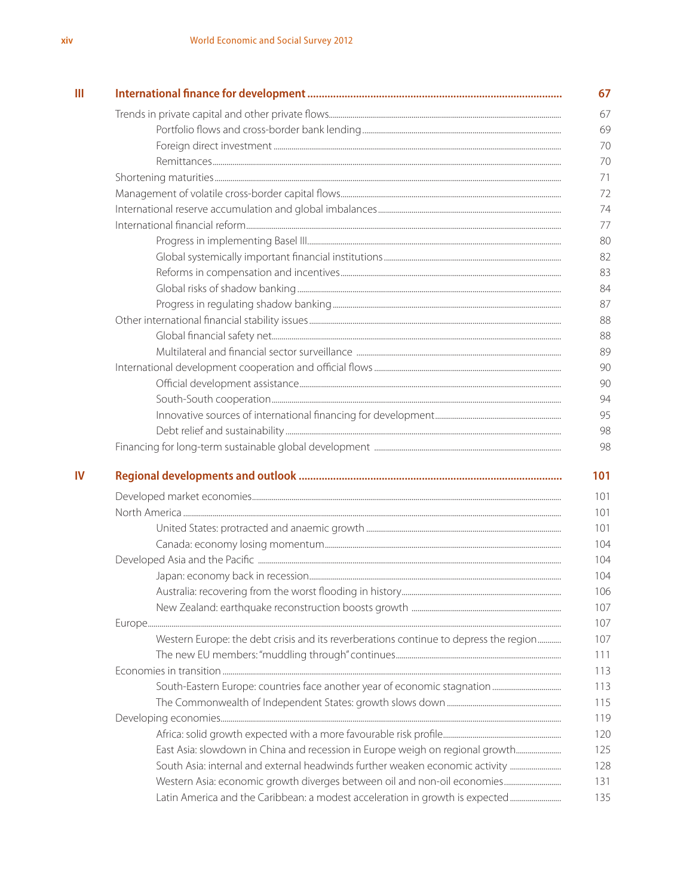|  | Western Europe: the debt crisis and its reverberations continue to depress the region |  |  |  |
|--|---------------------------------------------------------------------------------------|--|--|--|
|  |                                                                                       |  |  |  |
|  |                                                                                       |  |  |  |
|  |                                                                                       |  |  |  |
|  |                                                                                       |  |  |  |
|  |                                                                                       |  |  |  |
|  |                                                                                       |  |  |  |
|  | East Asia: slowdown in China and recession in Europe weigh on regional growth         |  |  |  |
|  | South Asia: internal and external headwinds further weaken economic activity          |  |  |  |
|  |                                                                                       |  |  |  |
|  | Latin America and the Caribbean: a modest acceleration in growth is expected          |  |  |  |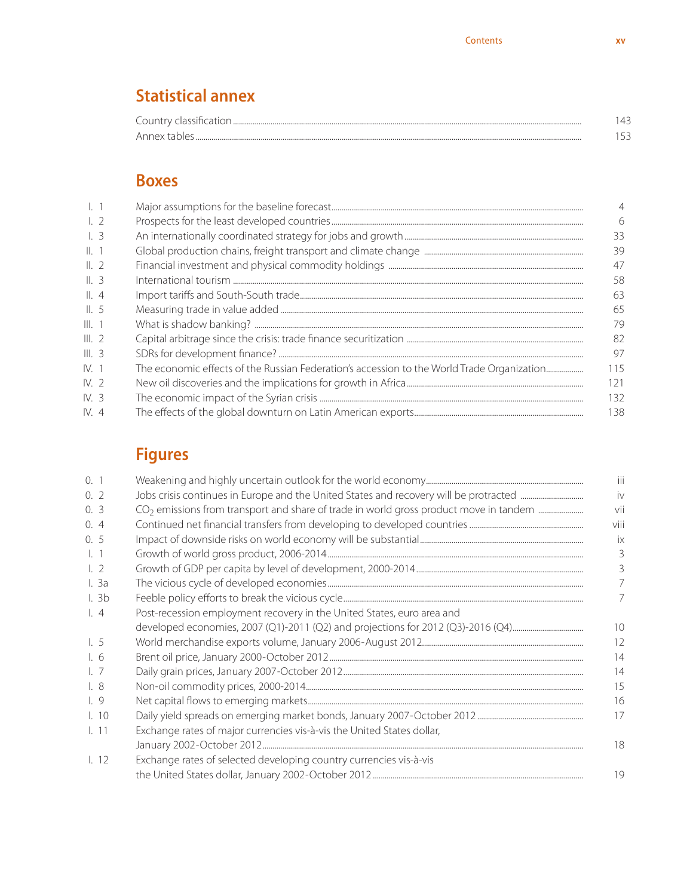### **Statistical annex**

| $\sim$<br>$^{\circ}$ ountry $\cdots$<br> |  |
|------------------------------------------|--|
| Anney<br>$\overline{1}$                  |  |

#### **Boxes**

| $\lfloor$ 2     |                                                                                            | 6   |
|-----------------|--------------------------------------------------------------------------------------------|-----|
| $\lfloor$ 3     |                                                                                            | 33  |
| II. 1           |                                                                                            | 39  |
| $\parallel$ , 2 |                                                                                            | 47  |
| II.3            |                                                                                            | 58  |
| $\parallel$ , 4 |                                                                                            | 63  |
| $\parallel$ , 5 |                                                                                            | 65  |
| III. 1          |                                                                                            | 79  |
| III.2           |                                                                                            | 82  |
| III.3           |                                                                                            | 97  |
| IV.1            | The economic effects of the Russian Federation's accession to the World Trade Organization | 115 |
| IV.2            |                                                                                            | 121 |
| IV.3            |                                                                                            | 132 |
| IV.4            |                                                                                            | 138 |
|                 |                                                                                            |     |

### **Figures**

| 0.1                 |                                                                        | iii            |
|---------------------|------------------------------------------------------------------------|----------------|
| 0, 2                |                                                                        | iv             |
| 0.3                 |                                                                        | vii            |
| 0, 4                |                                                                        | viii           |
| 0.5                 |                                                                        | ix             |
| $\lfloor$ 1         |                                                                        | 3              |
| $\lfloor 2$         |                                                                        | 3              |
| l.3a                |                                                                        | $\overline{7}$ |
| 1.3 <sub>b</sub>    |                                                                        | 7              |
| $\lfloor$ , 4       | Post-recession employment recovery in the United States, euro area and |                |
|                     |                                                                        | 10             |
| $\lfloor 5 \rfloor$ |                                                                        | 12             |
| $\mathsf{L}6$       |                                                                        | 14             |
| $\lfloor$ . 7       |                                                                        | 14             |
| $\lfloor 8 \rfloor$ |                                                                        | 15             |
| $\lfloor 9 \rfloor$ |                                                                        | 16             |
| 1.10                |                                                                        | 17             |
| $\lfloor$ 11        | Exchange rates of major currencies vis-à-vis the United States dollar, |                |
|                     |                                                                        | 18             |
| 1.12                | Exchange rates of selected developing country currencies vis-à-vis     |                |
|                     |                                                                        | 19             |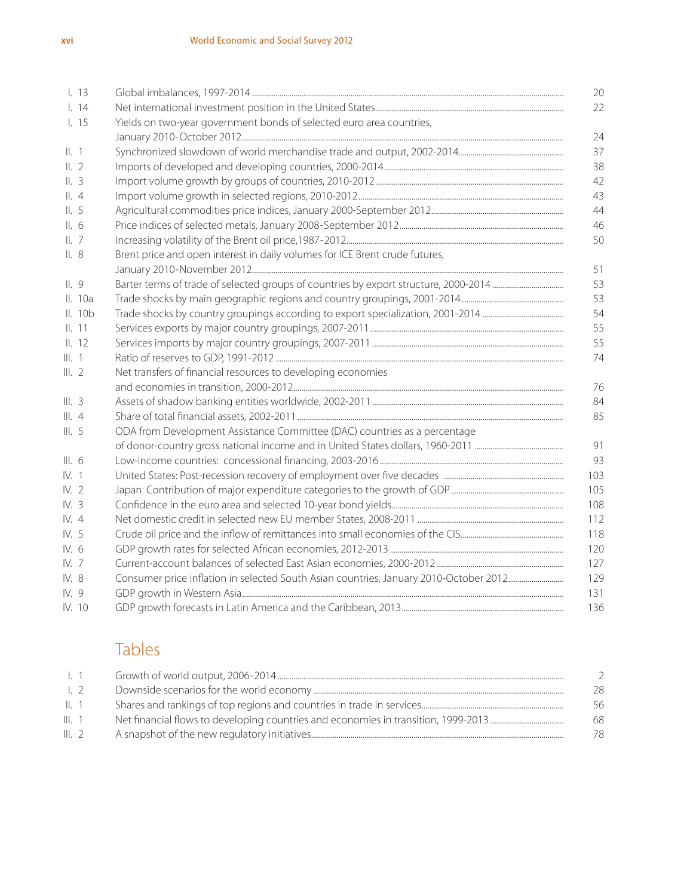| 1.13            |                                                                             | 20       |  |  |
|-----------------|-----------------------------------------------------------------------------|----------|--|--|
| 1.14            |                                                                             | 22       |  |  |
| 1.15            | Yields on two-year government bonds of selected euro area countries,        |          |  |  |
|                 |                                                                             | 24       |  |  |
| II. 1           |                                                                             | 37       |  |  |
| II.2            |                                                                             | 38       |  |  |
| II.3            |                                                                             | 42       |  |  |
| $\parallel$ , 4 |                                                                             | 43       |  |  |
| II.5            |                                                                             |          |  |  |
| II.6            |                                                                             |          |  |  |
| II.7            | 50                                                                          |          |  |  |
| II.8            | Brent price and open interest in daily volumes for ICE Brent crude futures, | 51       |  |  |
| II.9            |                                                                             | 53       |  |  |
| II. 10a         |                                                                             | 53       |  |  |
| II. 10b         |                                                                             | 54       |  |  |
| II. 11          |                                                                             |          |  |  |
| II. 12          |                                                                             | 55<br>55 |  |  |
| III. 1          |                                                                             | 74       |  |  |
| III.2           | Net transfers of financial resources to developing economies                |          |  |  |
|                 |                                                                             | 76       |  |  |
| III.3           |                                                                             | 84       |  |  |
| III.4           |                                                                             | 85       |  |  |
| III.5           | ODA from Development Assistance Committee (DAC) countries as a percentage   |          |  |  |
|                 |                                                                             | 91       |  |  |
| III.6           |                                                                             | 93       |  |  |
| IV. 1           |                                                                             | 103      |  |  |
| IV.2            |                                                                             | 105      |  |  |
| IV. 3           |                                                                             | 108      |  |  |
| IV. 4           |                                                                             | 112      |  |  |
| IV. 5           |                                                                             | 118      |  |  |
| IV. 6           |                                                                             | 120      |  |  |
| IV. 7           |                                                                             | 127      |  |  |
| IV. 8           |                                                                             | 129      |  |  |
| IV. 9           |                                                                             | 131      |  |  |
| IV. 10          |                                                                             | 136      |  |  |

#### Tables

| -1. 1           |    |
|-----------------|----|
| $\perp$ 2       | 28 |
| $\parallel$ . 1 | 56 |
| III. 1          | 68 |
| III.2           | 78 |
|                 |    |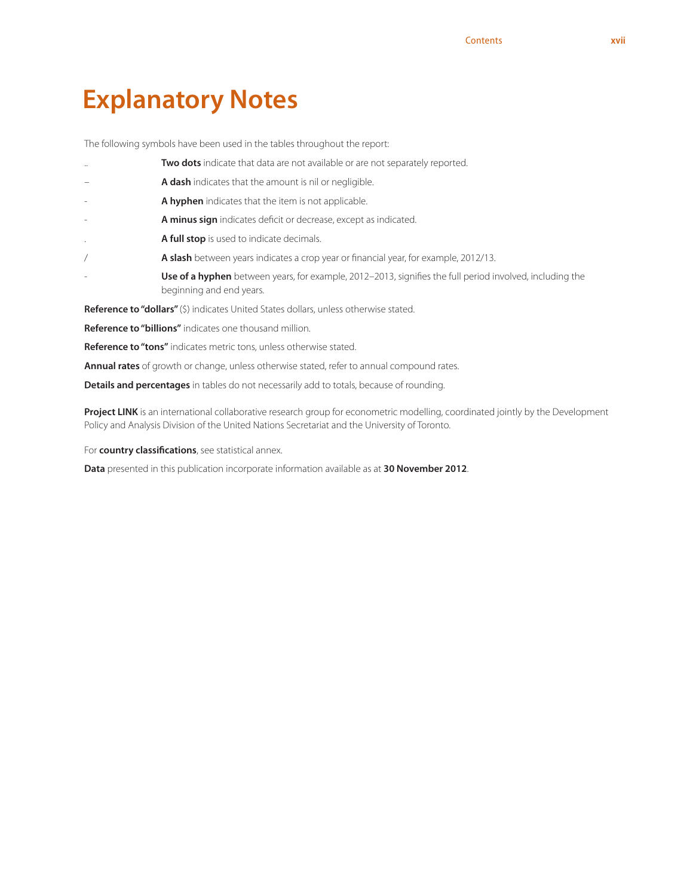## **Explanatory Notes**

The following symbols have been used in the tables throughout the report:

- Two dots indicate that data are not available or are not separately reported. A dash indicates that the amount is nil or negligible. A hyphen indicates that the item is not applicable. A minus sign indicates deficit or decrease, except as indicated. . **A full stop** is used to indicate decimals. A slash between years indicates a crop year or financial year, for example, 2012/13. Use of a hyphen between years, for example, 2012–2013, signifies the full period involved, including the beginning and end years. **Reference to "dollars"** (\$) indicates United States dollars, unless otherwise stated. **Reference to "billions"** indicates one thousand million.
- **Reference to "tons"** indicates metric tons, unless otherwise stated.

**Annual rates** of growth or change, unless otherwise stated, refer to annual compound rates.

**Details and percentages** in tables do not necessarily add to totals, because of rounding.

Project LINK is an international collaborative research group for econometric modelling, coordinated jointly by the Development Policy and Analysis Division of the United Nations Secretariat and the University of Toronto.

For **country classifications**, see statistical annex.

**Data** presented in this publication incorporate information available as at **30 November 2012**.